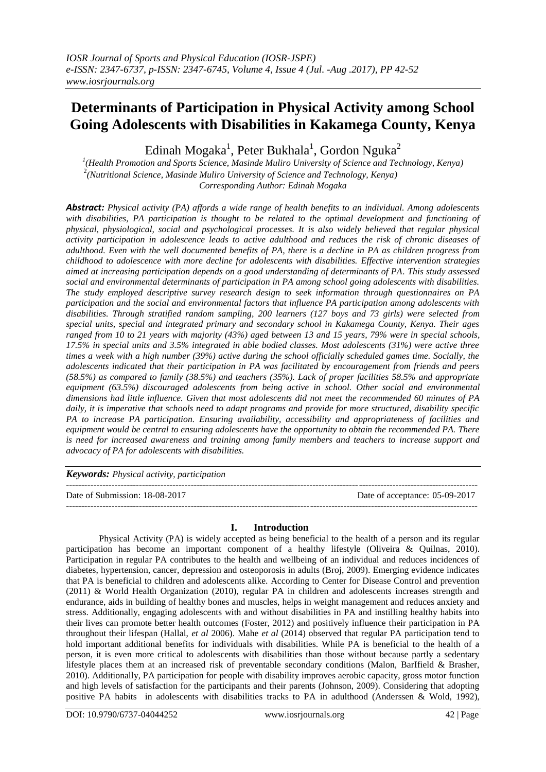# **Determinants of Participation in Physical Activity among School Going Adolescents with Disabilities in Kakamega County, Kenya**

Edinah Mogaka $^{\rm l}$ , Peter Bukhala $^{\rm l}$ , Gordon Nguka $^{\rm 2}$ 

*1 (Health Promotion and Sports Science, Masinde Muliro University of Science and Technology, Kenya)* 2 *(Nutritional Science, Masinde Muliro University of Science and Technology, Kenya) Corresponding Author: Edinah Mogaka*

*Abstract: Physical activity (PA) affords a wide range of health benefits to an individual. Among adolescents with disabilities, PA participation is thought to be related to the optimal development and functioning of physical, physiological, social and psychological processes. It is also widely believed that regular physical activity participation in adolescence leads to active adulthood and reduces the risk of chronic diseases of adulthood. Even with the well documented benefits of PA, there is a decline in PA as children progress from childhood to adolescence with more decline for adolescents with disabilities. Effective intervention strategies aimed at increasing participation depends on a good understanding of determinants of PA. This study assessed social and environmental determinants of participation in PA among school going adolescents with disabilities. The study employed descriptive survey research design to seek information through questionnaires on PA participation and the social and environmental factors that influence PA participation among adolescents with disabilities. Through stratified random sampling, 200 learners (127 boys and 73 girls) were selected from special units, special and integrated primary and secondary school in Kakamega County, Kenya. Their ages ranged from 10 to 21 years with majority (43%) aged between 13 and 15 years, 79% were in special schools, 17.5% in special units and 3.5% integrated in able bodied classes. Most adolescents (31%) were active three times a week with a high number (39%) active during the school officially scheduled games time. Socially, the adolescents indicated that their participation in PA was facilitated by encouragement from friends and peers (58.5%) as compared to family (38.5%) and teachers (35%). Lack of proper facilities 58.5% and appropriate equipment (63.5%) discouraged adolescents from being active in school. Other social and environmental dimensions had little influence. Given that most adolescents did not meet the recommended 60 minutes of PA daily, it is imperative that schools need to adapt programs and provide for more structured, disability specific PA to increase PA participation. Ensuring availability, accessibility and appropriateness of facilities and equipment would be central to ensuring adolescents have the opportunity to obtain the recommended PA. There is need for increased awareness and training among family members and teachers to increase support and advocacy of PA for adolescents with disabilities.* 

| <b>Keywords:</b> Physical activity, participation |                                |
|---------------------------------------------------|--------------------------------|
| Date of Submission: 18-08-2017                    | Date of acceptance: 05-09-2017 |
|                                                   |                                |

# **I. Introduction**

Physical Activity (PA) is widely accepted as being beneficial to the health of a person and its regular participation has become an important component of a healthy lifestyle (Oliveira & Quilnas, 2010). Participation in regular PA contributes to the health and wellbeing of an individual and reduces incidences of diabetes, hypertension, cancer, depression and osteoporosis in adults (Broj, 2009). Emerging evidence indicates that PA is beneficial to children and adolescents alike. According to Center for Disease Control and prevention (2011) & World Health Organization (2010), regular PA in children and adolescents increases strength and endurance, aids in building of healthy bones and muscles, helps in weight management and reduces anxiety and stress. Additionally, engaging adolescents with and without disabilities in PA and instilling healthy habits into their lives can promote better health outcomes (Foster, 2012) and positively influence their participation in PA throughout their lifespan (Hallal, *et al* 2006). Mahe *et al* (2014) observed that regular PA participation tend to hold important additional benefits for individuals with disabilities. While PA is beneficial to the health of a person, it is even more critical to adolescents with disabilities than those without because partly a sedentary lifestyle places them at an increased risk of preventable secondary conditions (Malon, BarIfield & Brasher, 2010). Additionally, PA participation for people with disability improves aerobic capacity, gross motor function and high levels of satisfaction for the participants and their parents (Johnson, 2009). Considering that adopting positive PA habits in adolescents with disabilities tracks to PA in adulthood (Anderssen & Wold, 1992),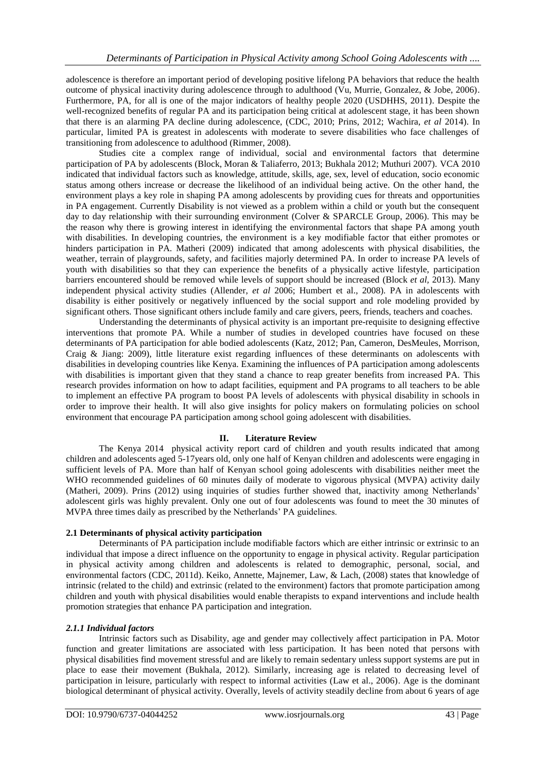adolescence is therefore an important period of developing positive lifelong PA behaviors that reduce the health outcome of physical inactivity during adolescence through to adulthood (Vu, Murrie, Gonzalez, & Jobe, 2006). Furthermore, PA, for all is one of the major indicators of healthy people 2020 (USDHHS, 2011). Despite the well-recognized benefits of regular PA and its participation being critical at adolescent stage, it has been shown that there is an alarming PA decline during adolescence, (CDC, 2010; Prins, 2012; Wachira, *et al* 2014). In particular, limited PA is greatest in adolescents with moderate to severe disabilities who face challenges of transitioning from adolescence to adulthood (Rimmer, 2008).

Studies cite a complex range of individual, social and environmental factors that determine participation of PA by adolescents (Block, Moran & Taliaferro, 2013; Bukhala 2012; Muthuri 2007). VCA 2010 indicated that individual factors such as knowledge, attitude, skills, age, sex, level of education, socio economic status among others increase or decrease the likelihood of an individual being active. On the other hand, the environment plays a key role in shaping PA among adolescents by providing cues for threats and opportunities in PA engagement. Currently Disability is not viewed as a problem within a child or youth but the consequent day to day relationship with their surrounding environment (Colver & SPARCLE Group, 2006). This may be the reason why there is growing interest in identifying the environmental factors that shape PA among youth with disabilities. In developing countries, the environment is a key modifiable factor that either promotes or hinders participation in PA. Matheri (2009) indicated that among adolescents with physical disabilities, the weather, terrain of playgrounds, safety, and facilities majorly determined PA. In order to increase PA levels of youth with disabilities so that they can experience the benefits of a physically active lifestyle, participation barriers encountered should be removed while levels of support should be increased (Block *et al,* 2013). Many independent physical activity studies (Allender, *et al* 2006; Humbert et al., 2008). PA in adolescents with disability is either positively or negatively influenced by the social support and role modeling provided by significant others. Those significant others include family and care givers, peers, friends, teachers and coaches.

Understanding the determinants of physical activity is an important pre-requisite to designing effective interventions that promote PA. While a number of studies in developed countries have focused on these determinants of PA participation for able bodied adolescents (Katz, 2012; Pan, Cameron, DesMeules, Morrison, Craig & Jiang: 2009), little literature exist regarding influences of these determinants on adolescents with disabilities in developing countries like Kenya. Examining the influences of PA participation among adolescents with disabilities is important given that they stand a chance to reap greater benefits from increased PA. This research provides information on how to adapt facilities, equipment and PA programs to all teachers to be able to implement an effective PA program to boost PA levels of adolescents with physical disability in schools in order to improve their health. It will also give insights for policy makers on formulating policies on school environment that encourage PA participation among school going adolescent with disabilities.

# **II. Literature Review**

The Kenya 2014 physical activity report card of children and youth results indicated that among children and adolescents aged 5-17years old, only one half of Kenyan children and adolescents were engaging in sufficient levels of PA. More than half of Kenyan school going adolescents with disabilities neither meet the WHO recommended guidelines of 60 minutes daily of moderate to vigorous physical (MVPA) activity daily (Matheri, 2009). Prins (2012) using inquiries of studies further showed that, inactivity among Netherlands" adolescent girls was highly prevalent. Only one out of four adolescents was found to meet the 30 minutes of MVPA three times daily as prescribed by the Netherlands" PA guidelines.

# **2.1 Determinants of physical activity participation**

Determinants of PA participation include modifiable factors which are either intrinsic or extrinsic to an individual that impose a direct influence on the opportunity to engage in physical activity. Regular participation in physical activity among children and adolescents is related to demographic, personal, social, and environmental factors (CDC, 2011d). Keiko, Annette, Majnemer, Law, & Lach, (2008) states that knowledge of intrinsic (related to the child) and extrinsic (related to the environment) factors that promote participation among children and youth with physical disabilities would enable therapists to expand interventions and include health promotion strategies that enhance PA participation and integration.

# *2.1.1 Individual factors*

Intrinsic factors such as Disability, age and gender may collectively affect participation in PA. Motor function and greater limitations are associated with less participation. It has been noted that persons with physical disabilities find movement stressful and are likely to remain sedentary unless support systems are put in place to ease their movement (Bukhala, 2012). Similarly, increasing age is related to decreasing level of participation in leisure, particularly with respect to informal activities (Law et al., 2006). Age is the dominant biological determinant of physical activity. Overally, levels of activity steadily decline from about 6 years of age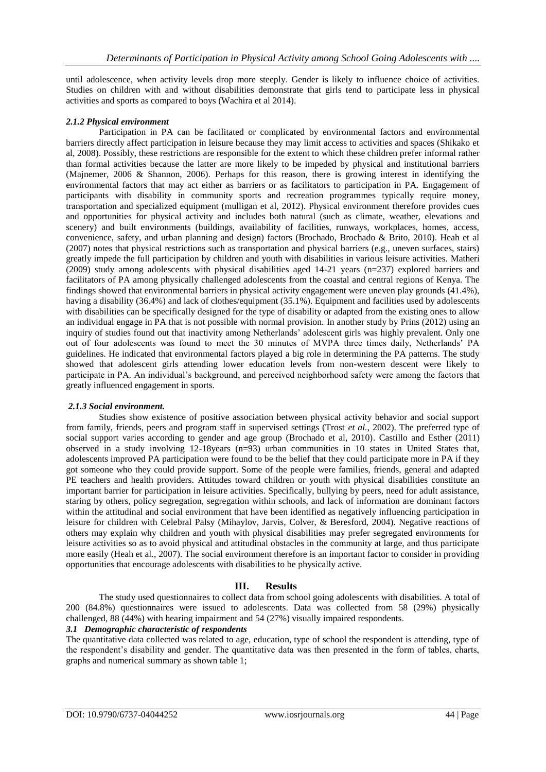until adolescence, when activity levels drop more steeply. Gender is likely to influence choice of activities. Studies on children with and without disabilities demonstrate that girls tend to participate less in physical activities and sports as compared to boys (Wachira et al 2014).

#### *2.1.2 Physical environment*

Participation in PA can be facilitated or complicated by environmental factors and environmental barriers directly affect participation in leisure because they may limit access to activities and spaces (Shikako et al, 2008). Possibly, these restrictions are responsible for the extent to which these children prefer informal rather than formal activities because the latter are more likely to be impeded by physical and institutional barriers (Majnemer, 2006 & Shannon, 2006). Perhaps for this reason, there is growing interest in identifying the environmental factors that may act either as barriers or as facilitators to participation in PA. Engagement of participants with disability in community sports and recreation programmes typically require money, transportation and specialized equipment (mulligan et al, 2012). Physical environment therefore provides cues and opportunities for physical activity and includes both natural (such as climate, weather, elevations and scenery) and built environments (buildings, availability of facilities, runways, workplaces, homes, access, convenience, safety, and urban planning and design) factors (Brochado, Brochado & Brito, 2010). Heah et al (2007) notes that physical restrictions such as transportation and physical barriers (e.g., uneven surfaces, stairs) greatly impede the full participation by children and youth with disabilities in various leisure activities. Matheri (2009) study among adolescents with physical disabilities aged 14-21 years (n=237) explored barriers and facilitators of PA among physically challenged adolescents from the coastal and central regions of Kenya. The findings showed that environmental barriers in physical activity engagement were uneven play grounds (41.4%), having a disability (36.4%) and lack of clothes/equipment (35.1%). Equipment and facilities used by adolescents with disabilities can be specifically designed for the type of disability or adapted from the existing ones to allow an individual engage in PA that is not possible with normal provision. In another study by Prins (2012) using an inquiry of studies found out that inactivity among Netherlands" adolescent girls was highly prevalent. Only one out of four adolescents was found to meet the 30 minutes of MVPA three times daily, Netherlands" PA guidelines. He indicated that environmental factors played a big role in determining the PA patterns. The study showed that adolescent girls attending lower education levels from non-western descent were likely to participate in PA. An individual's background, and perceived neighborhood safety were among the factors that greatly influenced engagement in sports.

#### *2.1.3 Social environment.*

Studies show existence of positive association between physical activity behavior and social support from family, friends, peers and program staff in supervised settings (Trost *et al.*, 2002). The preferred type of social support varies according to gender and age group (Brochado et al, 2010). Castillo and Esther (2011) observed in a study involving 12-18years (n=93) urban communities in 10 states in United States that, adolescents improved PA participation were found to be the belief that they could participate more in PA if they got someone who they could provide support. Some of the people were families, friends, general and adapted PE teachers and health providers. Attitudes toward children or youth with physical disabilities constitute an important barrier for participation in leisure activities. Specifically, bullying by peers, need for adult assistance, staring by others, policy segregation, segregation within schools, and lack of information are dominant factors within the attitudinal and social environment that have been identified as negatively influencing participation in leisure for children with Celebral Palsy (Mihaylov, Jarvis, Colver, & Beresford, 2004). Negative reactions of others may explain why children and youth with physical disabilities may prefer segregated environments for leisure activities so as to avoid physical and attitudinal obstacles in the community at large, and thus participate more easily (Heah et al., 2007). The social environment therefore is an important factor to consider in providing opportunities that encourage adolescents with disabilities to be physically active.

# **III. Results**

The study used questionnaires to collect data from school going adolescents with disabilities. A total of 200 (84.8%) questionnaires were issued to adolescents. Data was collected from 58 (29%) physically challenged, 88 (44%) with hearing impairment and 54 (27%) visually impaired respondents.

# *3.1 Demographic characteristic of respondents*

The quantitative data collected was related to age, education, type of school the respondent is attending, type of the respondent"s disability and gender. The quantitative data was then presented in the form of tables, charts, graphs and numerical summary as shown table 1;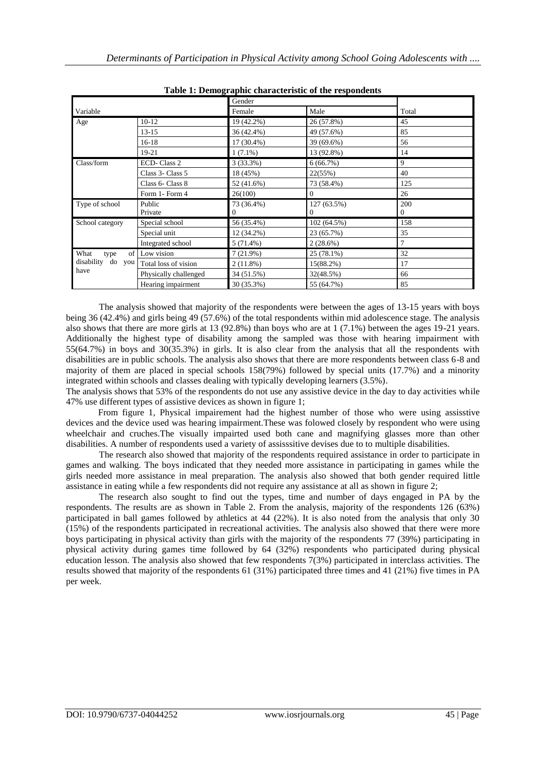|                      |                       |             | asie 11 Demographie enaracteristic of the respondents |                  |  |  |  |  |
|----------------------|-----------------------|-------------|-------------------------------------------------------|------------------|--|--|--|--|
|                      |                       | Gender      |                                                       |                  |  |  |  |  |
| Variable             |                       | Female      | Male                                                  | Total            |  |  |  |  |
| Age                  | $10-12$               | 19 (42.2%)  | 26 (57.8%)                                            | 45               |  |  |  |  |
|                      | $13 - 15$             | 36 (42.4%)  | 49 (57.6%)                                            | 85               |  |  |  |  |
|                      | $16-18$               | 17 (30.4%)  | 39 (69.6%)                                            | 56               |  |  |  |  |
| 19-21                |                       | $1(7.1\%)$  | 13 (92.8%)                                            | 14               |  |  |  |  |
| Class/form           | ECD-Class 2           | 3(33.3%)    | 6(66.7%)                                              | 9                |  |  |  |  |
|                      | Class 3- Class 5      | 18 (45%)    | 22(55%)                                               | 40               |  |  |  |  |
|                      | Class 6- Class 8      | 52 (41.6%)  | 73 (58.4%)                                            | 125              |  |  |  |  |
|                      | Form 1- Form 4        | 26(100)     | $\mathbf{0}$                                          | 26               |  |  |  |  |
| Type of school       | Public                | 73 (36.4%)  | 127 (63.5%)                                           | 200              |  |  |  |  |
|                      | Private               | 0           | 0                                                     | $\boldsymbol{0}$ |  |  |  |  |
| School category      | Special school        | 56 (35.4%)  | 102 (64.5%)                                           | 158              |  |  |  |  |
|                      | Special unit          | 12 (34.2%)  | 23 (65.7%)                                            | 35               |  |  |  |  |
|                      | Integrated school     | $5(71.4\%)$ | 2(28.6%)                                              |                  |  |  |  |  |
| What<br>of<br>type   | Low vision            | 7(21.9%)    | 25 (78.1%)                                            | 32               |  |  |  |  |
| disability<br>do you | Total loss of vision  | 2(11.8%)    | 15(88.2%)                                             | 17               |  |  |  |  |
| have                 | Physically challenged | 34 (51.5%)  | 32(48.5%)                                             | 66               |  |  |  |  |
|                      | Hearing impairment    | 30 (35.3%)  | 55 (64.7%)                                            | 85               |  |  |  |  |

| Table 1: Demographic characteristic of the respondents |  |
|--------------------------------------------------------|--|
|--------------------------------------------------------|--|

The analysis showed that majority of the respondents were between the ages of 13-15 years with boys being 36 (42.4%) and girls being 49 (57.6%) of the total respondents within mid adolescence stage. The analysis also shows that there are more girls at 13 (92.8%) than boys who are at 1 (7.1%) between the ages 19-21 years. Additionally the highest type of disability among the sampled was those with hearing impairment with 55(64.7%) in boys and 30(35.3%) in girls. It is also clear from the analysis that all the respondents with disabilities are in public schools. The analysis also shows that there are more respondents between class 6-8 and majority of them are placed in special schools 158(79%) followed by special units (17.7%) and a minority integrated within schools and classes dealing with typically developing learners (3.5%).

The analysis shows that 53% of the respondents do not use any assistive device in the day to day activities while 47% use different types of assistive devices as shown in figure 1;

 From figure 1, Physical impairement had the highest number of those who were using assisstive devices and the device used was hearing impairment.These was folowed closely by respondent who were using wheelchair and cruches.The visually impairted used both cane and magnifying glasses more than other disabilities. A number of respondents used a variety of assisssitive devises due to to multiple disabilities.

The research also showed that majority of the respondents required assistance in order to participate in games and walking. The boys indicated that they needed more assistance in participating in games while the girls needed more assistance in meal preparation. The analysis also showed that both gender required little assistance in eating while a few respondents did not require any assistance at all as shown in figure 2;

The research also sought to find out the types, time and number of days engaged in PA by the respondents. The results are as shown in Table 2. From the analysis, majority of the respondents 126 (63%) participated in ball games followed by athletics at 44 (22%). It is also noted from the analysis that only 30 (15%) of the respondents participated in recreational activities. The analysis also showed that there were more boys participating in physical activity than girls with the majority of the respondents 77 (39%) participating in physical activity during games time followed by 64 (32%) respondents who participated during physical education lesson. The analysis also showed that few respondents  $7(3%)$  participated in interclass activities. The results showed that majority of the respondents 61 (31%) participated three times and 41 (21%) five times in PA per week.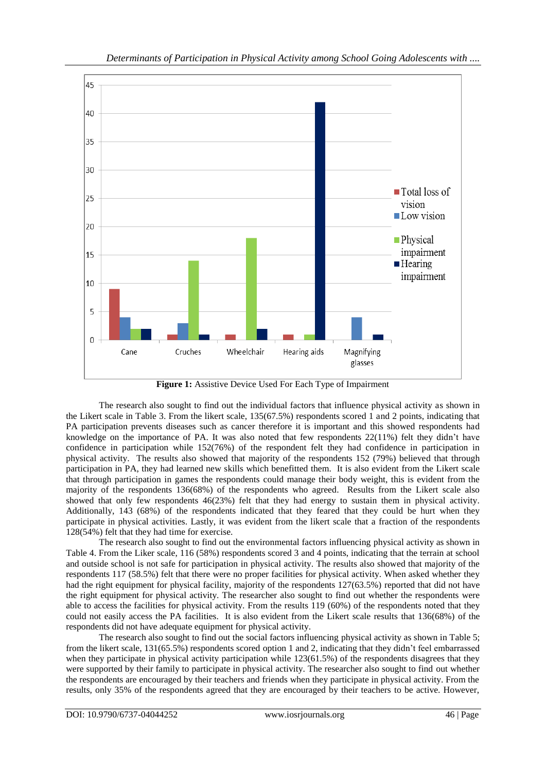

**Figure 1:** Assistive Device Used For Each Type of Impairment

The research also sought to find out the individual factors that influence physical activity as shown in the Likert scale in Table 3. From the likert scale, 135(67.5%) respondents scored 1 and 2 points, indicating that PA participation prevents diseases such as cancer therefore it is important and this showed respondents had knowledge on the importance of PA. It was also noted that few respondents 22(11%) felt they didn"t have confidence in participation while 152(76%) of the respondent felt they had confidence in participation in physical activity. The results also showed that majority of the respondents 152 (79%) believed that through participation in PA, they had learned new skills which benefitted them. It is also evident from the Likert scale that through participation in games the respondents could manage their body weight, this is evident from the majority of the respondents 136(68%) of the respondents who agreed. Results from the Likert scale also showed that only few respondents 46(23%) felt that they had energy to sustain them in physical activity. Additionally, 143 (68%) of the respondents indicated that they feared that they could be hurt when they participate in physical activities. Lastly, it was evident from the likert scale that a fraction of the respondents 128(54%) felt that they had time for exercise.

The research also sought to find out the environmental factors influencing physical activity as shown in Table 4. From the Liker scale, 116 (58%) respondents scored 3 and 4 points, indicating that the terrain at school and outside school is not safe for participation in physical activity. The results also showed that majority of the respondents 117 (58.5%) felt that there were no proper facilities for physical activity. When asked whether they had the right equipment for physical facility, majority of the respondents 127(63.5%) reported that did not have the right equipment for physical activity. The researcher also sought to find out whether the respondents were able to access the facilities for physical activity. From the results 119 (60%) of the respondents noted that they could not easily access the PA facilities. It is also evident from the Likert scale results that 136(68%) of the respondents did not have adequate equipment for physical activity.

The research also sought to find out the social factors influencing physical activity as shown in Table 5; from the likert scale, 131(65.5%) respondents scored option 1 and 2, indicating that they didn"t feel embarrassed when they participate in physical activity participation while 123(61.5%) of the respondents disagrees that they were supported by their family to participate in physical activity. The researcher also sought to find out whether the respondents are encouraged by their teachers and friends when they participate in physical activity. From the results, only 35% of the respondents agreed that they are encouraged by their teachers to be active. However,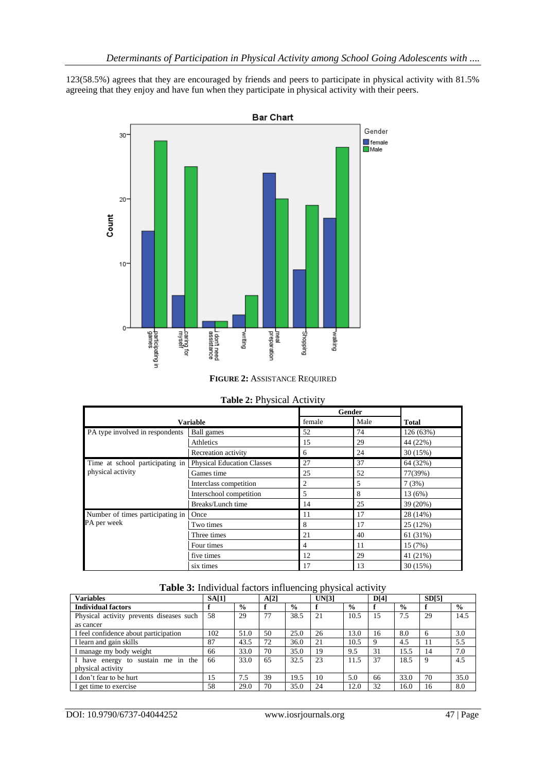123(58.5%) agrees that they are encouraged by friends and peers to participate in physical activity with 81.5% agreeing that they enjoy and have fun when they participate in physical activity with their peers.



#### **FIGURE 2:** ASSISTANCE REQUIRED

|                                  |                                   |        | <b>Gender</b> |              |
|----------------------------------|-----------------------------------|--------|---------------|--------------|
|                                  | <b>Variable</b>                   | female | Male          | <b>Total</b> |
| PA type involved in respondents  | Ball games                        | 52     | 74            | 126 (63%)    |
|                                  | Athletics                         | 15     | 29            | 44 (22%)     |
|                                  | Recreation activity               | 6      | 24            | 30(15%)      |
| Time at school participating in  | <b>Physical Education Classes</b> | 27     | 37            | 64 (32%)     |
| physical activity                | Games time                        | 25     | 52            | 77(39%)      |
|                                  | Interclass competition            | 2      | 5             | 7(3%)        |
|                                  | Interschool competition           | 5      | 8             | 13 (6%)      |
|                                  | Breaks/Lunch time                 | 14     | 25            | 39 (20%)     |
| Number of times participating in | Once                              | 11     | 17            | 28 (14%)     |
| PA per week                      | Two times                         | 8      | 17            | 25 (12%)     |
|                                  | Three times                       | 21     | 40            | 61 (31%)     |
|                                  | Four times                        | 4      | 11            | 15 (7%)      |
|                                  | five times                        | 12     | 29            | 41 (21%)     |
|                                  | six times                         | 17     | 13            | 30(15%)      |

# **Table 2:** Physical Activity

# **Table 3:** Individual factors influencing physical activity

| <b>Variables</b>                         | SA[1] |               | A[2] |               | UN[3] |               | D[4] |               | SD[5] |               |
|------------------------------------------|-------|---------------|------|---------------|-------|---------------|------|---------------|-------|---------------|
| <b>Individual factors</b>                |       | $\frac{0}{0}$ |      | $\frac{6}{9}$ |       | $\frac{6}{6}$ |      | $\frac{6}{9}$ |       | $\frac{0}{0}$ |
| Physical activity prevents diseases such | 58    | 29            | 77   | 38.5          | 21    | 10.5          | 15   | 7.5           | 29    | 14.5          |
| as cancer                                |       |               |      |               |       |               |      |               |       |               |
| I feel confidence about participation    | 102   | 51.0          | 50   | 25.0          | 26    | 13.0          | 16   | 8.0           | -6    | 3.0           |
| I learn and gain skills                  | 87    | 43.5          | 72   | 36.0          | 21    | 10.5          | 9    | 4.5           | 11    | 5.5           |
| I manage my body weight                  | 66    | 33.0          | 70   | 35.0          | 19    | 9.5           | 31   | 15.5          | 14    | 7.0           |
| sustain me in the<br>I have energy to    | 66    | 33.0          | 65   | 32.5          | 23    | 11.5          | 37   | 18.5          | 9     | 4.5           |
| physical activity                        |       |               |      |               |       |               |      |               |       |               |
| I don't fear to be hurt                  | 15    | 7.5           | 39   | 19.5          | 10    | 5.0           | 66   | 33.0          | 70    | 35.0          |
| I get time to exercise                   | 58    | 29.0          | 70   | 35.0          | 24    | 12.0          | 32   | 16.0          | 16    | 8.0           |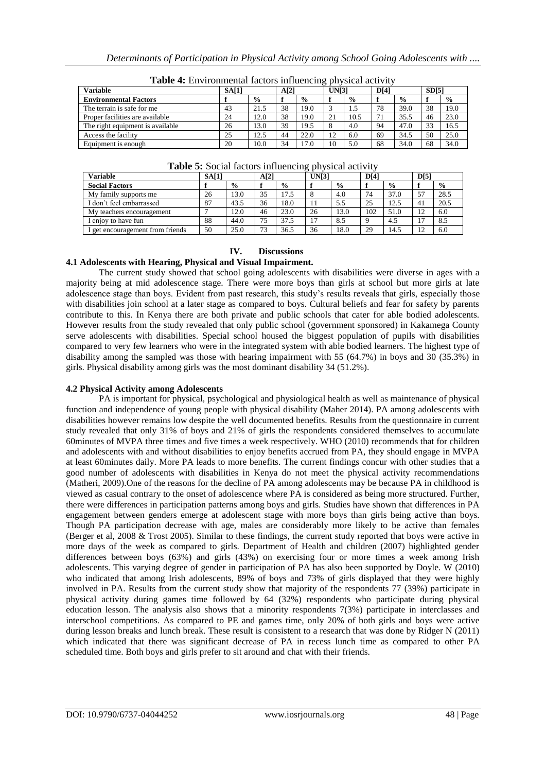| <b>Variable</b>                  | <b>SA[1]</b> |               | A[2] |               | ັ<br>UN[3]       |               | D[4] |               | SD[5] |      |
|----------------------------------|--------------|---------------|------|---------------|------------------|---------------|------|---------------|-------|------|
| <b>Environmental Factors</b>     |              | $\frac{0}{0}$ |      | $\frac{0}{0}$ |                  | $\frac{0}{0}$ |      | $\frac{6}{9}$ |       | $\%$ |
| The terrain is safe for me       | 43           | 21.5          | 38   | 19.0          |                  |               | 78   | 39.0          | 38    | 19.0 |
| Proper facilities are available  | 24           | 12.0          | 38   | 19.0          | 21               | 10.5          | 71   | 35.5          | 46    | 23.0 |
| The right equipment is available | 26           | 13.0          | 39   | 19.5          | 8                | 4.0           | 94   | 47.0          | 33    | 16.5 |
| Access the facility              | 25           | 12.5          | 44   | 22.0          | $\cap$<br>$\sim$ | 6.0           | 69   | 34.5          | 50    | 25.0 |
| Equipment is enough              | 20           | 10.0          | 34   | 17.0          | 10               | 5.0           | 68   | 34.0          | 68    | 34.0 |

| Table 4: Environmental factors influencing physical activity |  |  |  |  |
|--------------------------------------------------------------|--|--|--|--|
|--------------------------------------------------------------|--|--|--|--|

| <b>rapic 5.</b> Social factors influencing physical activity |       |               |      |               |       |               |      |               |             |               |
|--------------------------------------------------------------|-------|---------------|------|---------------|-------|---------------|------|---------------|-------------|---------------|
| <b>Variable</b>                                              | SA[1] |               | A[2] |               | UN[3] |               | D[4] |               | D[5]        |               |
| <b>Social Factors</b>                                        |       | $\frac{6}{9}$ |      | $\frac{6}{9}$ |       | $\frac{6}{6}$ |      | $\frac{6}{9}$ |             | $\frac{6}{9}$ |
| My family supports me                                        | 26    | 13.0          | 35   | 17.5          |       | 4.0           | 74   | 37.0          |             | 28.5          |
| I don't feel embarrassed                                     | 87    | 43.5          | 36   | 18.0          |       | 5.5           | 25   | 12.5          | 41          | 20.5          |
| My teachers encouragement                                    |       | 12.0          | 46   | 23.0          | 26    | 13.0          | 102  | 51.0          | ∍           | 6.0           |
| I enjoy to have fun                                          | 88    | 44.0          | 75   | 37.5          |       | 8.5           |      | 4.5           |             | 8.5           |
| I get encouragement from friends                             | 50    | 25.0          | 73   | 36.5          | 36    | 18.0          | 29   | 14.5          | $1^{\circ}$ | 6.0           |

**Table 5:** Social factors influencing physical activity

#### **IV. Discussions**

#### **4.1 Adolescents with Hearing, Physical and Visual Impairment.**

The current study showed that school going adolescents with disabilities were diverse in ages with a majority being at mid adolescence stage. There were more boys than girls at school but more girls at late adolescence stage than boys. Evident from past research, this study"s results reveals that girls, especially those with disabilities join school at a later stage as compared to boys. Cultural beliefs and fear for safety by parents contribute to this. In Kenya there are both private and public schools that cater for able bodied adolescents. However results from the study revealed that only public school (government sponsored) in Kakamega County serve adolescents with disabilities. Special school housed the biggest population of pupils with disabilities compared to very few learners who were in the integrated system with able bodied learners. The highest type of disability among the sampled was those with hearing impairment with 55 (64.7%) in boys and 30 (35.3%) in girls. Physical disability among girls was the most dominant disability 34 (51.2%).

#### **4.2 Physical Activity among Adolescents**

PA is important for physical, psychological and physiological health as well as maintenance of physical function and independence of young people with physical disability (Maher 2014). PA among adolescents with disabilities however remains low despite the well documented benefits. Results from the questionnaire in current study revealed that only 31% of boys and 21% of girls the respondents considered themselves to accumulate 60minutes of MVPA three times and five times a week respectively. WHO (2010) recommends that for children and adolescents with and without disabilities to enjoy benefits accrued from PA, they should engage in MVPA at least 60minutes daily. More PA leads to more benefits. The current findings concur with other studies that a good number of adolescents with disabilities in Kenya do not meet the physical activity recommendations (Matheri, 2009).One of the reasons for the decline of PA among adolescents may be because PA in childhood is viewed as casual contrary to the onset of adolescence where PA is considered as being more structured. Further, there were differences in participation patterns among boys and girls. Studies have shown that differences in PA engagement between genders emerge at adolescent stage with more boys than girls being active than boys. Though PA participation decrease with age, males are considerably more likely to be active than females (Berger et al, 2008 & Trost 2005). Similar to these findings, the current study reported that boys were active in more days of the week as compared to girls. Department of Health and children (2007) highlighted gender differences between boys (63%) and girls (43%) on exercising four or more times a week among Irish adolescents. This varying degree of gender in participation of PA has also been supported by Doyle. W (2010) who indicated that among Irish adolescents, 89% of boys and 73% of girls displayed that they were highly involved in PA. Results from the current study show that majority of the respondents 77 (39%) participate in physical activity during games time followed by 64 (32%) respondents who participate during physical education lesson. The analysis also shows that a minority respondents  $7(3%)$  participate in interclasses and interschool competitions. As compared to PE and games time, only 20% of both girls and boys were active during lesson breaks and lunch break. These result is consistent to a research that was done by Ridger N (2011) which indicated that there was significant decrease of PA in recess lunch time as compared to other PA scheduled time. Both boys and girls prefer to sit around and chat with their friends.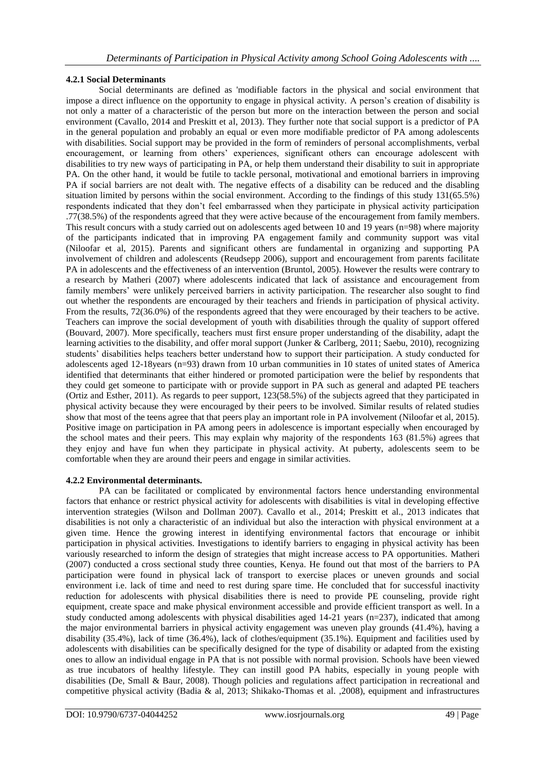# **4.2.1 Social Determinants**

Social determinants are defined as 'modifiable factors in the physical and social environment that impose a direct influence on the opportunity to engage in physical activity. A person"s creation of disability is not only a matter of a characteristic of the person but more on the interaction between the person and social environment (Cavallo, 2014 and Preskitt et al, 2013). They further note that social support is a predictor of PA in the general population and probably an equal or even more modifiable predictor of PA among adolescents with disabilities. Social support may be provided in the form of reminders of personal accomplishments, verbal encouragement, or learning from others" experiences, significant others can encourage adolescent with disabilities to try new ways of participating in PA, or help them understand their disability to suit in appropriate PA. On the other hand, it would be futile to tackle personal, motivational and emotional barriers in improving PA if social barriers are not dealt with. The negative effects of a disability can be reduced and the disabling situation limited by persons within the social environment. According to the findings of this study 131(65.5%) respondents indicated that they don"t feel embarrassed when they participate in physical activity participation .77(38.5%) of the respondents agreed that they were active because of the encouragement from family members. This result concurs with a study carried out on adolescents aged between 10 and 19 years (n=98) where majority of the participants indicated that in improving PA engagement family and community support was vital (Niloofar et al, 2015). Parents and significant others are fundamental in organizing and supporting PA involvement of children and adolescents (Reudsepp 2006), support and encouragement from parents facilitate PA in adolescents and the effectiveness of an intervention (Bruntol, 2005). However the results were contrary to a research by Matheri (2007) where adolescents indicated that lack of assistance and encouragement from family members' were unlikely perceived barriers in activity participation. The researcher also sought to find out whether the respondents are encouraged by their teachers and friends in participation of physical activity. From the results, 72(36.0%) of the respondents agreed that they were encouraged by their teachers to be active. Teachers can improve the social development of youth with disabilities through the quality of support offered (Bouvard, 2007). More specifically, teachers must first ensure proper understanding of the disability, adapt the learning activities to the disability, and offer moral support (Junker & Carlberg, 2011; Saebu, 2010), recognizing students" disabilities helps teachers better understand how to support their participation. A study conducted for adolescents aged 12-18years (n=93) drawn from 10 urban communities in 10 states of united states of America identified that determinants that either hindered or promoted participation were the belief by respondents that they could get someone to participate with or provide support in PA such as general and adapted PE teachers (Ortiz and Esther, 2011). As regards to peer support, 123(58.5%) of the subjects agreed that they participated in physical activity because they were encouraged by their peers to be involved. Similar results of related studies show that most of the teens agree that that peers play an important role in PA involvement (Niloofar et al, 2015). Positive image on participation in PA among peers in adolescence is important especially when encouraged by the school mates and their peers. This may explain why majority of the respondents 163 (81.5%) agrees that they enjoy and have fun when they participate in physical activity. At puberty, adolescents seem to be comfortable when they are around their peers and engage in similar activities.

# **4.2.2 Environmental determinants.**

PA can be facilitated or complicated by environmental factors hence understanding environmental factors that enhance or restrict physical activity for adolescents with disabilities is vital in developing effective intervention strategies (Wilson and Dollman 2007). Cavallo et al., 2014; Preskitt et al., 2013 indicates that disabilities is not only a characteristic of an individual but also the interaction with physical environment at a given time. Hence the growing interest in identifying environmental factors that encourage or inhibit participation in physical activities. Investigations to identify barriers to engaging in physical activity has been variously researched to inform the design of strategies that might increase access to PA opportunities. Matheri (2007) conducted a cross sectional study three counties, Kenya. He found out that most of the barriers to PA participation were found in physical lack of transport to exercise places or uneven grounds and social environment i.e. lack of time and need to rest during spare time. He concluded that for successful inactivity reduction for adolescents with physical disabilities there is need to provide PE counseling, provide right equipment, create space and make physical environment accessible and provide efficient transport as well. In a study conducted among adolescents with physical disabilities aged 14-21 years (n=237), indicated that among the major environmental barriers in physical activity engagement was uneven play grounds (41.4%), having a disability (35.4%), lack of time (36.4%), lack of clothes/equipment (35.1%). Equipment and facilities used by adolescents with disabilities can be specifically designed for the type of disability or adapted from the existing ones to allow an individual engage in PA that is not possible with normal provision. Schools have been viewed as true incubators of healthy lifestyle. They can instill good PA habits, especially in young people with disabilities (De, Small & Baur, 2008). Though policies and regulations affect participation in recreational and competitive physical activity (Badia & al, 2013; Shikako-Thomas et al. ,2008), equipment and infrastructures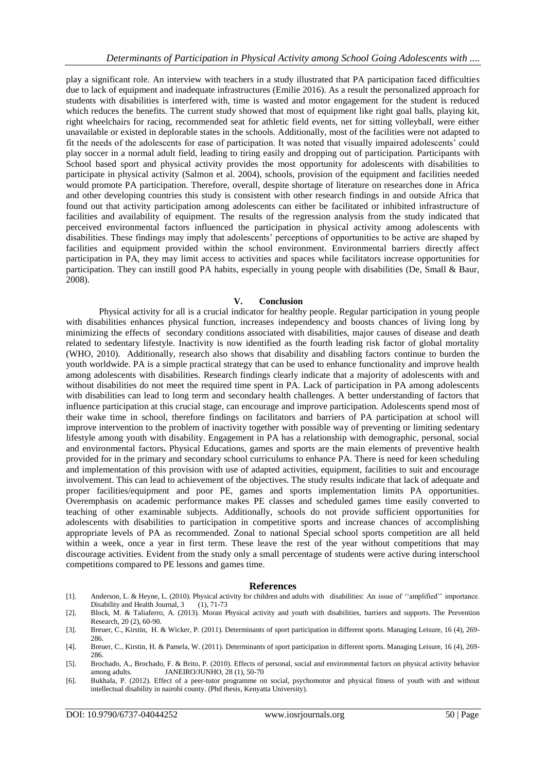play a significant role. An interview with teachers in a study illustrated that PA participation faced difficulties due to lack of equipment and inadequate infrastructures (Emilie 2016). As a result the personalized approach for students with disabilities is interfered with, time is wasted and motor engagement for the student is reduced which reduces the benefits. The current study showed that most of equipment like right goal balls, playing kit, right wheelchairs for racing, recommended seat for athletic field events, net for sitting volleyball, were either unavailable or existed in deplorable states in the schools. Additionally, most of the facilities were not adapted to fit the needs of the adolescents for ease of participation. It was noted that visually impaired adolescents" could play soccer in a normal adult field, leading to tiring easily and dropping out of participation. Participants with School based sport and physical activity provides the most opportunity for adolescents with disabilities to participate in physical activity (Salmon et al. 2004), schools, provision of the equipment and facilities needed would promote PA participation. Therefore, overall, despite shortage of literature on researches done in Africa and other developing countries this study is consistent with other research findings in and outside Africa that found out that activity participation among adolescents can either be facilitated or inhibited infrastructure of facilities and availability of equipment. The results of the regression analysis from the study indicated that perceived environmental factors influenced the participation in physical activity among adolescents with disabilities. These findings may imply that adolescents" perceptions of opportunities to be active are shaped by facilities and equipment provided within the school environment. Environmental barriers directly affect participation in PA, they may limit access to activities and spaces while facilitators increase opportunities for participation. They can instill good PA habits, especially in young people with disabilities (De, Small & Baur, 2008).

#### **V. Conclusion**

Physical activity for all is a crucial indicator for healthy people. Regular participation in young people with disabilities enhances physical function, increases independency and boosts chances of living long by minimizing the effects of secondary conditions associated with disabilities, major causes of disease and death related to sedentary lifestyle. Inactivity is now identified as the fourth leading risk factor of global mortality (WHO, 2010). Additionally, research also shows that disability and disabling factors continue to burden the youth worldwide. PA is a simple practical strategy that can be used to enhance functionality and improve health among adolescents with disabilities. Research findings clearly indicate that a majority of adolescents with and without disabilities do not meet the required time spent in PA. Lack of participation in PA among adolescents with disabilities can lead to long term and secondary health challenges. A better understanding of factors that influence participation at this crucial stage, can encourage and improve participation. Adolescents spend most of their wake time in school, therefore findings on facilitators and barriers of PA participation at school will improve intervention to the problem of inactivity together with possible way of preventing or limiting sedentary lifestyle among youth with disability. Engagement in PA has a relationship with demographic, personal, social and environmental factors**.** Physical Educations, games and sports are the main elements of preventive health provided for in the primary and secondary school curriculums to enhance PA. There is need for keen scheduling and implementation of this provision with use of adapted activities, equipment, facilities to suit and encourage involvement. This can lead to achievement of the objectives. The study results indicate that lack of adequate and proper facilities/equipment and poor PE, games and sports implementation limits PA opportunities. Overemphasis on academic performance makes PE classes and scheduled games time easily converted to teaching of other examinable subjects. Additionally, schools do not provide sufficient opportunities for adolescents with disabilities to participation in competitive sports and increase chances of accomplishing appropriate levels of PA as recommended. Zonal to national Special school sports competition are all held within a week, once a year in first term. These leave the rest of the year without competitions that may discourage activities. Evident from the study only a small percentage of students were active during interschool competitions compared to PE lessons and games time.

#### **References**

- [1]. Anderson, L. & Heyne, L. (2010). Physical activity for children and adults with disabilities: An issue of "amplified" importance. Disability and Health Journal, 3 (1), 71-73
- [2]. Block, M. & Taliaferro, A. (2013). Moran Physical activity and youth with disabilities, barriers and supports. The Prevention Research, 20 (2), 60-90.
- [3]. Breuer, C., Kirstin, H. & Wicker, P. (2011). Determinants of sport participation in different sports. Managing Leisure, 16 (4), 269- 286.
- [4]. Breuer, C., Kirstin, H. & Pamela, W. (2011). Determinants of sport participation in different sports. Managing Leisure, 16 (4), 269- 286.
- [5]. Brochado, A., Brochado, F. & Brito, P. (2010). Effects of personal, social and environmental factors on physical activity behavior among adults. JANEIRO/JUNHO, 28 (1), 50-70
- [6]. Bukhala, P. (2012). Effect of a peer-tutor programme on social, psychomotor and physical fitness of youth with and without intellectual disability in nairobi county. (Phd thesis, Kenyatta University).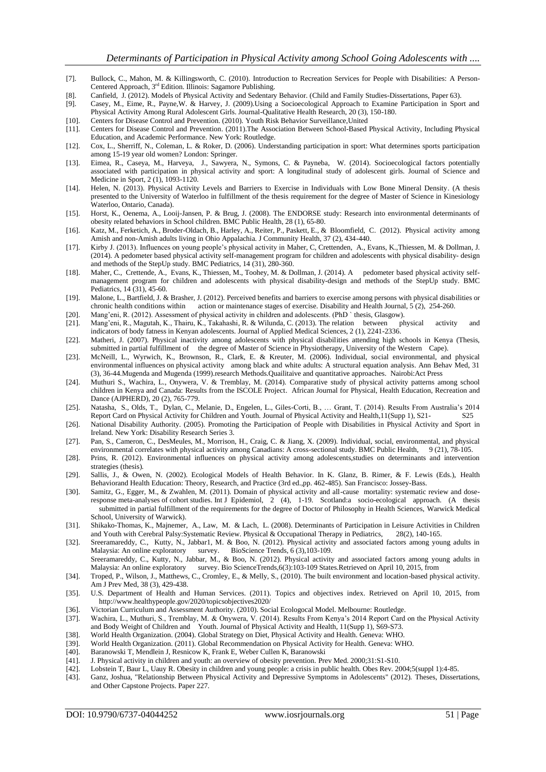- [7]. Bullock, C., Mahon, M. & Killingsworth, C. (2010). Introduction to Recreation Services for People with Disabilities: A Person-Centered Approach, 3rd Edition. Illinois: Sagamore Publishing.
- [8]. Canfield, J. (2012). Models of Physical Activity and Sedentary Behavior. (Child and Family Studies-Dissertations, Paper 63). Casey, M., Eime, R., Payne, W. & Harvey, J. (2009). Using a Socioecological Approach to Exam
- [9]. Casey, M., Eime, R., Payne,W. & Harvey, J. (2009).Using a Socioecological Approach to Examine Participation in Sport and Physical Activity Among Rural Adolescent Girls. Journal-Qualitative Health Research, 20 (3), 150-180.
- [10]. Centers for Disease Control and Prevention. (2010). Youth Risk Behavior Surveillance, United [11]. Centers for Disease Control and Prevention. (2011). The Association Between School-Based [11]. Centers for Disease Control and Prevention. (2011).The Association Between School-Based Physical Activity, Including Physical Education, and Academic Performance. New York: Routledge.
- [12]. Cox, L., Sherriff, N., Coleman, L. & Roker, D. (2006). Understanding participation in sport: What determines sports participation among 15-19 year old women? London: Springer.
- [13]. Eimea, R., Caseya, M., Harveya, J., Sawyera, N., Symons, C. & Payneba, W. (2014). Socioecological factors potentially associated with participation in physical activity and sport: A longitudinal study of adolescent girls. Journal of Science and Medicine in Sport, 2 (1), 1093-1120.
- [14]. Helen, N. (2013). Physical Activity Levels and Barriers to Exercise in Individuals with Low Bone Mineral Density. (A thesis presented to the University of Waterloo in fulfillment of the thesis requirement for the degree of Master of Science in Kinesiology Waterloo, Ontario, Canada).
- [15]. Horst, K., Oenema, A., Looij-Jansen, P. & Brug, J. (2008). The ENDORSE study: Research into environmental determinants of obesity related behaviors in School children. BMC Public Health, 28 (1), 65-80.
- [16]. Katz, M., Ferketich, A., Broder-Oldach, B., Harley, A., Reiter, P., Paskett, E., & Bloomfield, C. (2012). Physical activity among Amish and non-Amish adults living in Ohio Appalachia. J Community Health, 37 (2), 434-440.
- [17]. Kirby J. (2013). Influences on young people"s physical activity in Maher, C, Crettenden, A., Evans, K.,Thiessen, M. & Dollman, J. (2014). A pedometer based physical activity self-management program for children and adolescents with physical disability- design and methods of the StepUp study. BMC Pediatrics, 14 (31), 280-360.
- [18]. Maher, C., Crettende, A., Evans, K., Thiessen, M., Toohey, M. & Dollman, J. (2014). A pedometer based physical activity selfmanagement program for children and adolescents with physical disability-design and methods of the StepUp study. BMC Pediatrics, 14 (31), 45-60.
- [19]. Malone, L., Bartfield, J. & Brasher, J. (2012). Perceived benefits and barriers to exercise among persons with physical disabilities or chronic health conditions within action or maintenance stages of exercise. Disability and Health Journal, 5 (2), 254-260.
- [20]. Mang"eni, R. (2012). Assessment of physical activity in children and adolescents. (PhD ` thesis, Glasgow).
- [21]. Mang"eni, R., Magutah, K., Thairu, K., Takahashi, R. & Wilunda, C. (2013). The relation between physical activity and indicators of body fatness in Kenyan adolescents. Journal of Applied Medical Sciences, 2 (1), 2241-2336.
- [22]. Matheri, J. (2007). Physical inactivity among adolescents with physical disabilities attending high schools in Kenya (Thesis, submitted in partial fulfillment of the degree of Master of Science in Physiotherapy, University of the Western Cape).
- [23]. McNeill, L., Wyrwich, K., Brownson, R., Clark, E. & Kreuter, M. (2006). Individual, social environmental, and physical environmental influences on physical activity among black and white adults: A structural equation analysis. Ann Behav Med, 31 (3), 36-44.Mugenda and Mugenda (1999).research Methods.Quailitaive and quantitative approaches. Nairobi:Act Press
- [24]. Muthuri S., Wachira, L., Onywera, V. & Tremblay, M. (2014). Comparative study of physical activity patterns among school children in Kenya and Canada: Results from the ISCOLE Project. African Journal for Physical, Health Education, Recreation and Dance (AJPHERD), 20 (2), 765-779.
- [25]. Natasha, S., Olds, T., Dylan, C., Melanie, D., Engelen, L., Giles-Corti, B., … Grant, T. (2014). Results From Australia"s 2014 Report Card on Physical Activity for Children and Youth. Journal of Physical Activity and Health,11(Supp 1), S21- S25
- [26]. National Disability Authority. (2005). Promoting the Participation of People with Disabilities in Physical Activity and Sport in Ireland. New York: Disability Research Series 3.
- [27]. Pan, S., Cameron, C., DesMeules, M., Morrison, H., Craig, C. & Jiang, X. (2009). Individual, social, environmental, and physical environmental correlates with physical activity among Canadians: A cross-sectional study. BMC Public Health, 9 (21), 78-105.
- [28]. Prins, R. (2012). Environmental influences on physical activity among adolescents,studies on determinants and intervention strategies (thesis).
- [29]. Sallis, J., & Owen, N. (2002). Ecological Models of Health Behavior. In K. Glanz, B. Rimer, & F. Lewis (Eds.), Health Behaviorand Health Education: Theory, Research, and Practice (3rd ed.,pp. 462-485). San Francisco: Jossey-Bass.
- [30]. Samitz, G., Egger, M., & Zwahlen, M. (2011). Domain of physical activity and all-cause mortality: systematic review and doseresponse meta-analyses of cohort studies. Int J Epidemiol, 2 (4), 1-19. Scotland:a socio-ecological approach. (A thesis submitted in partial fulfillment of the requirements for the degree of Doctor of Philosophy in Health Sciences, Warwick Medical School, University of Warwick).
- [31]. Shikako-Thomas, K., Majnemer, A., Law, M. & Lach, L. (2008). Determinants of Participation in Leisure Activities in Children and Youth with Cerebral Palsy:Systematic Review. Physical & Occupational Therapy in Pediatrics, 28(2), 140-165.
- [32]. Sreeramareddy, C., Kutty, N., Jabbar1, M. & Boo, N. (2012). Physical activity and associated factors among young adults in Malaysia: An online exploratory survey. BioScience Trends, 6 (3), 103-109. Malaysia: An online exploratory survey. BioScience Trends, 6 (3), 103-109. Sreeramareddy, C., Kutty, N., Jabbar, M., & Boo, N. (2012). Physical activity and associated factors among young adults in Malaysia: An online exploratory survey. Bio ScienceTrends,6(3):103-109 States.Retrieved on April 10, 2015, from
- [34]. Troped, P., Wilson, J., Matthews, C., Cromley, E., & Melly, S., (2010). The built environment and location-based physical activity. Am J Prev Med, 38 (3), 429-438.
- [35]. U.S. Department of Health and Human Services. (2011). Topics and objectives index. Retrieved on April 10, 2015, from http://www.healthypeople.gov/2020/topicsobjectives2020/
- 
- [36]. Victorian Curriculum and Assessment Authority. (2010). Social Ecologocal Model. Melbourne: Routledge.<br>[37]. Wachira, L., Muthuri, S., Tremblay, M. & Onywera, V. (2014). Results From Kenya's 2014 Report Card [37]. Wachira, L., Muthuri, S., Tremblay, M. & Onywera, V. (2014). Results From Kenya"s 2014 Report Card on the Physical Activity and Body Weight of Children and Youth. Journal of Physical Activity and Health, 11(Supp 1), S69-S73.
- [38]. World Health Organization. (2004). Global Strategy on Diet, Physical Activity and Health. Geneva: WHO.
- [39]. World Health Organization. (2011). Global Recommendation on Physical Activity for Health. Geneva: WHO. [40]. Baranowski T, Mendlein J, Resnicow K, Frank E, Weber Cullen K, Baranowski
- Baranowski T, Mendlein J, Resnicow K, Frank E, Weber Cullen K, Baranowski
- [41]. J. Physical activity in children and youth: an overview of obesity prevention. Prev Med. 2000;31:S1-S10.
- [42]. Lobstein T, Baur L, Uauy R. Obesity in children and young people: a crisis in public health. Obes Rev. 2004;5(suppl 1):4-85.
- [43]. Ganz, Joshua, "Relationship Between Physical Activity and Depressive Symptoms in Adolescents" (2012). Theses, Dissertations, and Other Capstone Projects. Paper 227.